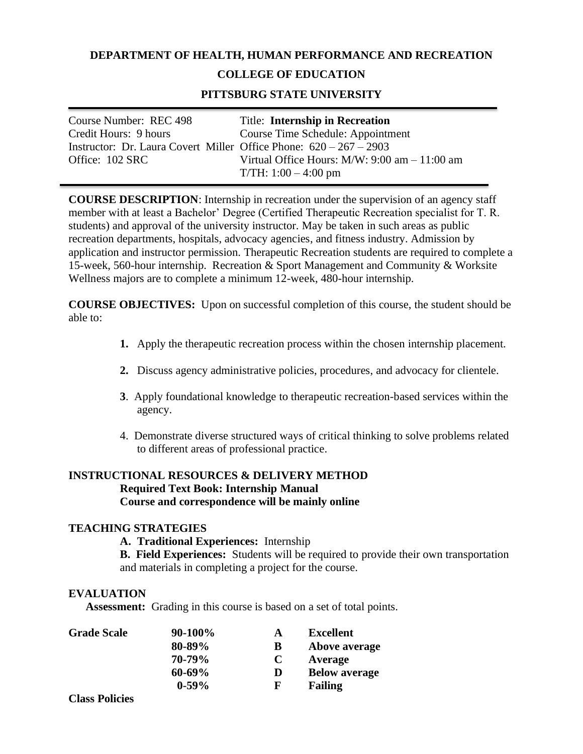# **DEPARTMENT OF HEALTH, HUMAN PERFORMANCE AND RECREATION**

### **COLLEGE OF EDUCATION**

# **PITTSBURG STATE UNIVERSITY**

| Course Number: REC 498                                               | Title: Internship in Recreation                     |
|----------------------------------------------------------------------|-----------------------------------------------------|
| Credit Hours: 9 hours                                                | Course Time Schedule: Appointment                   |
| Instructor: Dr. Laura Covert Miller Office Phone: $620 - 267 - 2903$ |                                                     |
| Office: 102 SRC                                                      | Virtual Office Hours: $M/W$ : 9:00 am $- 11$ :00 am |
|                                                                      | $T/TH: 1:00 - 4:00$ pm                              |

**COURSE DESCRIPTION**: Internship in recreation under the supervision of an agency staff member with at least a Bachelor' Degree (Certified Therapeutic Recreation specialist for T. R. students) and approval of the university instructor. May be taken in such areas as public recreation departments, hospitals, advocacy agencies, and fitness industry. Admission by application and instructor permission. Therapeutic Recreation students are required to complete a 15-week, 560-hour internship. Recreation & Sport Management and Community & Worksite Wellness majors are to complete a minimum 12-week, 480-hour internship.

**COURSE OBJECTIVES:** Upon on successful completion of this course, the student should be able to:

- **1.** Apply the therapeutic recreation process within the chosen internship placement.
- **2.** Discuss agency administrative policies, procedures, and advocacy for clientele.
- **3**. Apply foundational knowledge to therapeutic recreation-based services within the agency.
- 4. Demonstrate diverse structured ways of critical thinking to solve problems related to different areas of professional practice.

# **INSTRUCTIONAL RESOURCES & DELIVERY METHOD Required Text Book: Internship Manual Course and correspondence will be mainly online**

#### **TEACHING STRATEGIES**

**A. Traditional Experiences:** Internship

**B. Field Experiences:** Students will be required to provide their own transportation and materials in completing a project for the course.

#### **EVALUATION**

**Assessment:** Grading in this course is based on a set of total points.

| <b>Grade Scale</b>     | 90-100%     | A | <b>Excellent</b>     |
|------------------------|-------------|---|----------------------|
|                        | 80-89%      | B | Above average        |
|                        | 70-79%      | C | Average              |
|                        | $60 - 69\%$ | D | <b>Below average</b> |
|                        | $0 - 59%$   | F | <b>Failing</b>       |
| $\sim$<br><b>m 1</b> . |             |   |                      |

**Class Policies**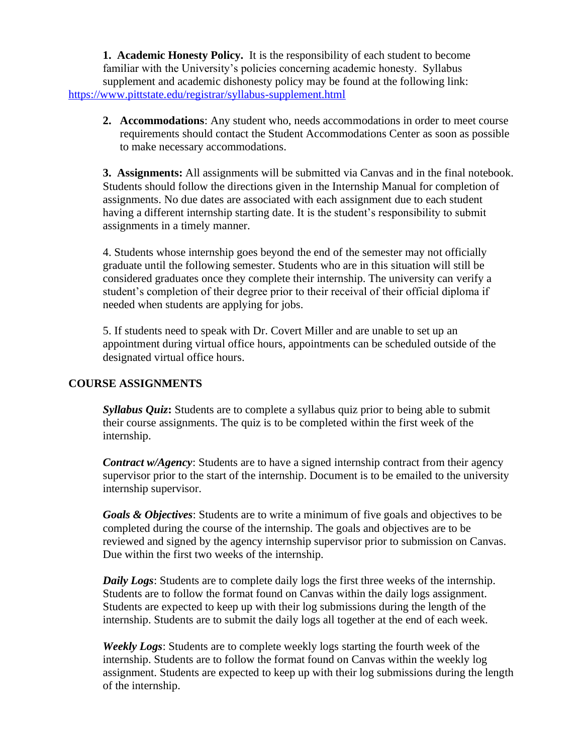**1. Academic Honesty Policy.** It is the responsibility of each student to become familiar with the University's policies concerning academic honesty. Syllabus supplement and academic dishonesty policy may be found at the following link: <https://www.pittstate.edu/registrar/syllabus-supplement.html>

**2. Accommodations**: Any student who, needs accommodations in order to meet course requirements should contact the Student Accommodations Center as soon as possible to make necessary accommodations.

**3. Assignments:** All assignments will be submitted via Canvas and in the final notebook. Students should follow the directions given in the Internship Manual for completion of assignments. No due dates are associated with each assignment due to each student having a different internship starting date. It is the student's responsibility to submit assignments in a timely manner.

4. Students whose internship goes beyond the end of the semester may not officially graduate until the following semester. Students who are in this situation will still be considered graduates once they complete their internship. The university can verify a student's completion of their degree prior to their receival of their official diploma if needed when students are applying for jobs.

5. If students need to speak with Dr. Covert Miller and are unable to set up an appointment during virtual office hours, appointments can be scheduled outside of the designated virtual office hours.

# **COURSE ASSIGNMENTS**

*Syllabus Quiz***:** Students are to complete a syllabus quiz prior to being able to submit their course assignments. The quiz is to be completed within the first week of the internship.

*Contract w/Agency*: Students are to have a signed internship contract from their agency supervisor prior to the start of the internship. Document is to be emailed to the university internship supervisor.

*Goals & Objectives*: Students are to write a minimum of five goals and objectives to be completed during the course of the internship. The goals and objectives are to be reviewed and signed by the agency internship supervisor prior to submission on Canvas. Due within the first two weeks of the internship.

*Daily Logs*: Students are to complete daily logs the first three weeks of the internship. Students are to follow the format found on Canvas within the daily logs assignment. Students are expected to keep up with their log submissions during the length of the internship. Students are to submit the daily logs all together at the end of each week.

*Weekly Logs*: Students are to complete weekly logs starting the fourth week of the internship. Students are to follow the format found on Canvas within the weekly log assignment. Students are expected to keep up with their log submissions during the length of the internship.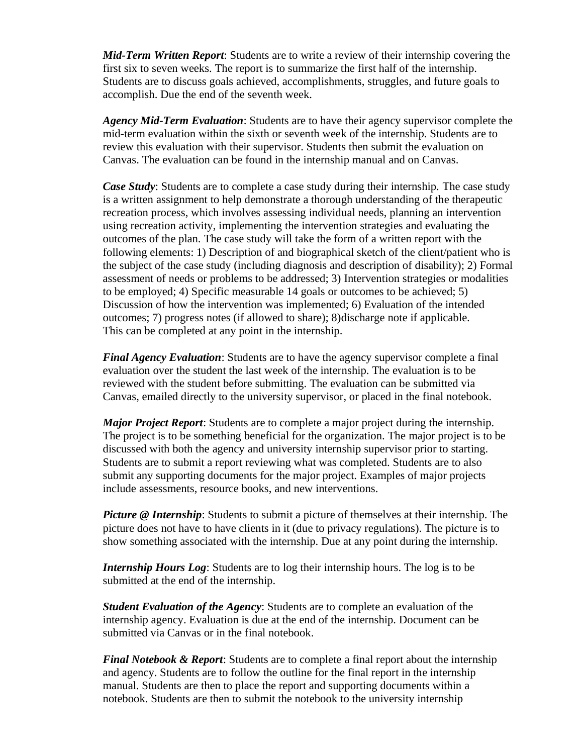*Mid-Term Written Report*: Students are to write a review of their internship covering the first six to seven weeks. The report is to summarize the first half of the internship. Students are to discuss goals achieved, accomplishments, struggles, and future goals to accomplish. Due the end of the seventh week.

*Agency Mid-Term Evaluation*: Students are to have their agency supervisor complete the mid-term evaluation within the sixth or seventh week of the internship. Students are to review this evaluation with their supervisor. Students then submit the evaluation on Canvas. The evaluation can be found in the internship manual and on Canvas.

*Case Study*: Students are to complete a case study during their internship. The case study is a written assignment to help demonstrate a thorough understanding of the therapeutic recreation process, which involves assessing individual needs, planning an intervention using recreation activity, implementing the intervention strategies and evaluating the outcomes of the plan. The case study will take the form of a written report with the following elements: 1) Description of and biographical sketch of the client/patient who is the subject of the case study (including diagnosis and description of disability); 2) Formal assessment of needs or problems to be addressed; 3) Intervention strategies or modalities to be employed; 4) Specific measurable 14 goals or outcomes to be achieved; 5) Discussion of how the intervention was implemented; 6) Evaluation of the intended outcomes; 7) progress notes (if allowed to share); 8)discharge note if applicable. This can be completed at any point in the internship.

*Final Agency Evaluation*: Students are to have the agency supervisor complete a final evaluation over the student the last week of the internship. The evaluation is to be reviewed with the student before submitting. The evaluation can be submitted via Canvas, emailed directly to the university supervisor, or placed in the final notebook.

*Major Project Report*: Students are to complete a major project during the internship. The project is to be something beneficial for the organization. The major project is to be discussed with both the agency and university internship supervisor prior to starting. Students are to submit a report reviewing what was completed. Students are to also submit any supporting documents for the major project. Examples of major projects include assessments, resource books, and new interventions.

*Picture @ Internship*: Students to submit a picture of themselves at their internship. The picture does not have to have clients in it (due to privacy regulations). The picture is to show something associated with the internship. Due at any point during the internship.

*Internship Hours Log*: Students are to log their internship hours. The log is to be submitted at the end of the internship.

*Student Evaluation of the Agency*: Students are to complete an evaluation of the internship agency. Evaluation is due at the end of the internship. Document can be submitted via Canvas or in the final notebook.

*Final Notebook & Report*: Students are to complete a final report about the internship and agency. Students are to follow the outline for the final report in the internship manual. Students are then to place the report and supporting documents within a notebook. Students are then to submit the notebook to the university internship